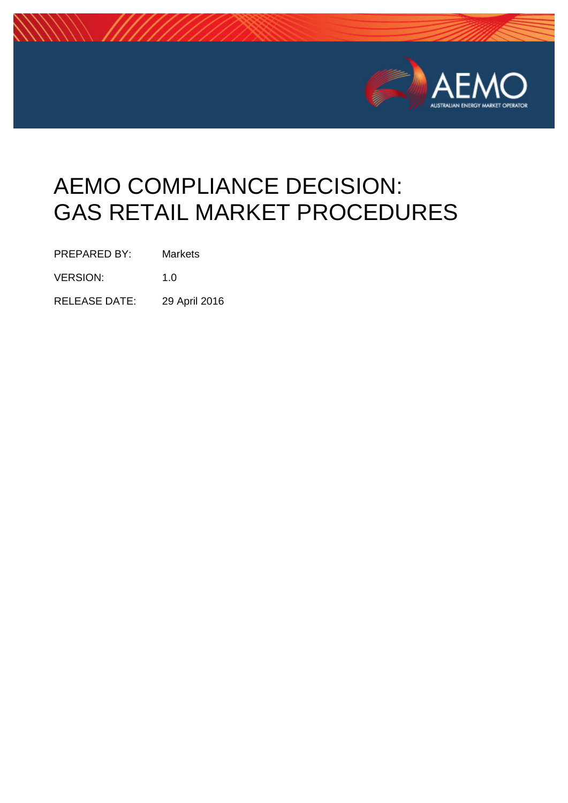

# AEMO COMPLIANCE DECISION: GAS RETAIL MARKET PROCEDURES

PREPARED BY: Markets

VERSION: 1.0

RELEASE DATE: 29 April 2016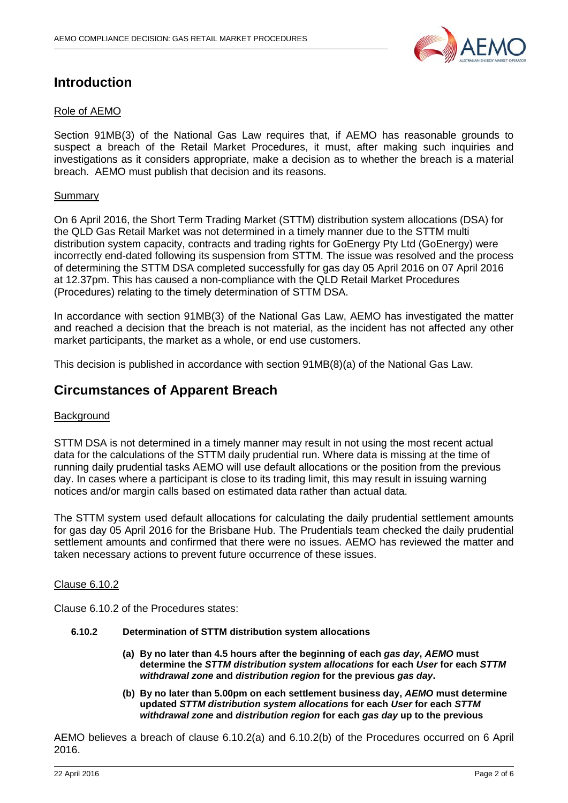

# **Introduction**

# Role of AEMO

Section 91MB(3) of the National Gas Law requires that, if AEMO has reasonable grounds to suspect a breach of the Retail Market Procedures, it must, after making such inquiries and investigations as it considers appropriate, make a decision as to whether the breach is a material breach. AEMO must publish that decision and its reasons.

# Summary

On 6 April 2016, the Short Term Trading Market (STTM) distribution system allocations (DSA) for the QLD Gas Retail Market was not determined in a timely manner due to the STTM multi distribution system capacity, contracts and trading rights for GoEnergy Pty Ltd (GoEnergy) were incorrectly end-dated following its suspension from STTM. The issue was resolved and the process of determining the STTM DSA completed successfully for gas day 05 April 2016 on 07 April 2016 at 12.37pm. This has caused a non-compliance with the QLD Retail Market Procedures (Procedures) relating to the timely determination of STTM DSA.

In accordance with section 91MB(3) of the National Gas Law, AEMO has investigated the matter and reached a decision that the breach is not material, as the incident has not affected any other market participants, the market as a whole, or end use customers.

This decision is published in accordance with section 91MB(8)(a) of the National Gas Law.

# **Circumstances of Apparent Breach**

# **Background**

STTM DSA is not determined in a timely manner may result in not using the most recent actual data for the calculations of the STTM daily prudential run. Where data is missing at the time of running daily prudential tasks AEMO will use default allocations or the position from the previous day. In cases where a participant is close to its trading limit, this may result in issuing warning notices and/or margin calls based on estimated data rather than actual data.

The STTM system used default allocations for calculating the daily prudential settlement amounts for gas day 05 April 2016 for the Brisbane Hub. The Prudentials team checked the daily prudential settlement amounts and confirmed that there were no issues. AEMO has reviewed the matter and taken necessary actions to prevent future occurrence of these issues.

#### Clause 6.10.2

Clause 6.10.2 of the Procedures states:

- **6.10.2 Determination of STTM distribution system allocations**
	- **(a) By no later than 4.5 hours after the beginning of each** *gas day***,** *AEMO* **must determine the** *STTM distribution system allocations* **for each** *User* **for each** *STTM withdrawal zone* **and** *distribution region* **for the previous** *gas day***.**
	- **(b) By no later than 5.00pm on each settlement business day,** *AEMO* **must determine updated** *STTM distribution system allocations* **for each** *User* **for each** *STTM withdrawal zone* **and** *distribution region* **for each** *gas day* **up to the previous**

AEMO believes a breach of clause 6.10.2(a) and 6.10.2(b) of the Procedures occurred on 6 April 2016.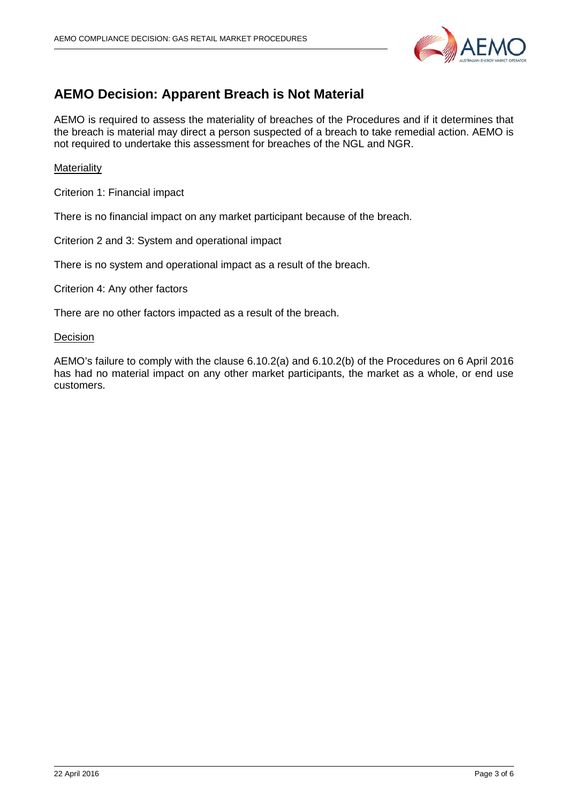

# **AEMO Decision: Apparent Breach is Not Material**

AEMO is required to assess the materiality of breaches of the Procedures and if it determines that the breach is material may direct a person suspected of a breach to take remedial action. AEMO is not required to undertake this assessment for breaches of the NGL and NGR.

## **Materiality**

Criterion 1: Financial impact

There is no financial impact on any market participant because of the breach.

Criterion 2 and 3: System and operational impact

There is no system and operational impact as a result of the breach.

Criterion 4: Any other factors

There are no other factors impacted as a result of the breach.

#### **Decision**

AEMO's failure to comply with the clause 6.10.2(a) and 6.10.2(b) of the Procedures on 6 April 2016 has had no material impact on any other market participants, the market as a whole, or end use customers.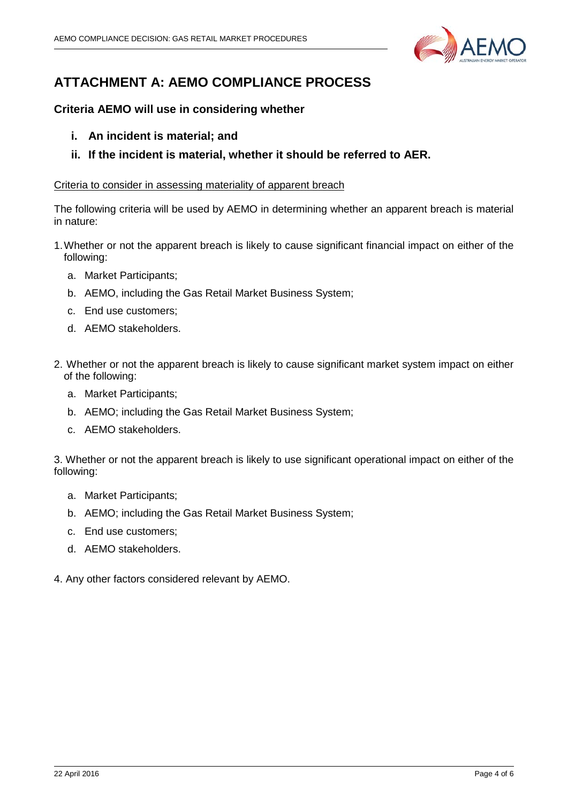

# **ATTACHMENT A: AEMO COMPLIANCE PROCESS**

# **Criteria AEMO will use in considering whether**

- **i. An incident is material; and**
- **ii. If the incident is material, whether it should be referred to AER.**

## Criteria to consider in assessing materiality of apparent breach

The following criteria will be used by AEMO in determining whether an apparent breach is material in nature:

- 1.Whether or not the apparent breach is likely to cause significant financial impact on either of the following:
	- a. Market Participants;
	- b. AEMO, including the Gas Retail Market Business System;
	- c. End use customers;
	- d. AEMO stakeholders.
- 2. Whether or not the apparent breach is likely to cause significant market system impact on either of the following:
	- a. Market Participants;
	- b. AEMO; including the Gas Retail Market Business System;
	- c. AEMO stakeholders.

3. Whether or not the apparent breach is likely to use significant operational impact on either of the following:

- a. Market Participants;
- b. AEMO; including the Gas Retail Market Business System;
- c. End use customers;
- d. AEMO stakeholders.
- 4. Any other factors considered relevant by AEMO.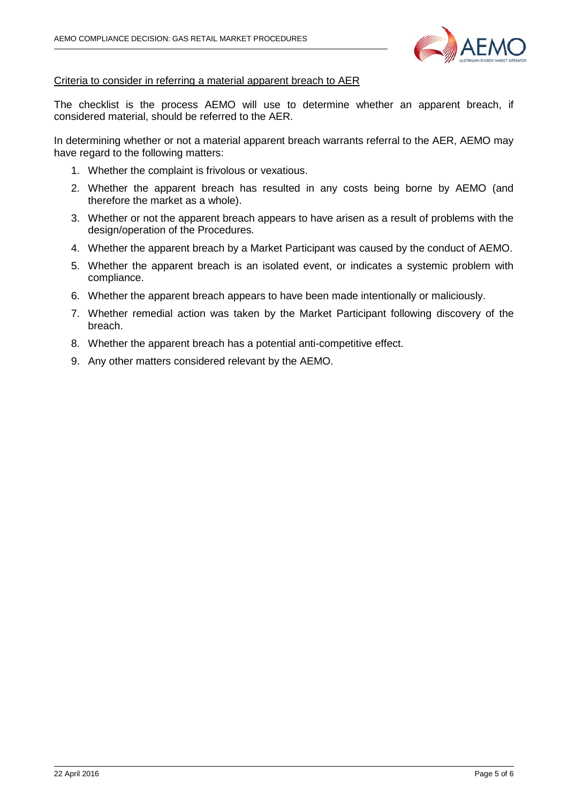

## Criteria to consider in referring a material apparent breach to AER

The checklist is the process AEMO will use to determine whether an apparent breach, if considered material, should be referred to the AER.

In determining whether or not a material apparent breach warrants referral to the AER, AEMO may have regard to the following matters:

- 1. Whether the complaint is frivolous or vexatious.
- 2. Whether the apparent breach has resulted in any costs being borne by AEMO (and therefore the market as a whole).
- 3. Whether or not the apparent breach appears to have arisen as a result of problems with the design/operation of the Procedures.
- 4. Whether the apparent breach by a Market Participant was caused by the conduct of AEMO.
- 5. Whether the apparent breach is an isolated event, or indicates a systemic problem with compliance.
- 6. Whether the apparent breach appears to have been made intentionally or maliciously.
- 7. Whether remedial action was taken by the Market Participant following discovery of the breach.
- 8. Whether the apparent breach has a potential anti-competitive effect.
- 9. Any other matters considered relevant by the AEMO.